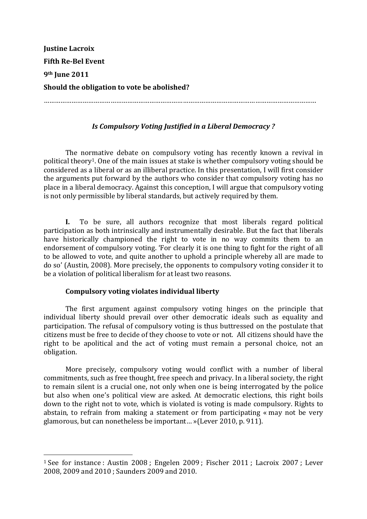| <b>Justine Lacroix</b>                      |
|---------------------------------------------|
| <b>Fifth Re-Bel Event</b>                   |
| 9 <sup>th</sup> June 2011                   |
| Should the obligation to vote be abolished? |
|                                             |

# *Is Compulsory Voting Justified in a Liberal Democracy?*

The normative debate on compulsory voting has recently known a revival in political theory<sup>1</sup>. One of the main issues at stake is whether compulsory voting should be considered as a liberal or as an illiberal practice. In this presentation, I will first consider the arguments put forward by the authors who consider that compulsory voting has no place in a liberal democracy. Against this conception, I will argue that compulsory voting is not only permissible by liberal standards, but actively required by them.

**I.** To be sure, all authors recognize that most liberals regard political participation as both intrinsically and instrumentally desirable. But the fact that liberals have historically championed the right to vote in no way commits them to an endorsement of compulsory voting. 'For clearly it is one thing to fight for the right of all to be allowed to vote, and quite another to uphold a principle whereby all are made to do so' (Austin, 2008). More precisely, the opponents to compulsory voting consider it to be a violation of political liberalism for at least two reasons.

## Compulsory voting violates individual liberty

"""""""""""""""""""""""""""""""""""""""""""""""""""""""

The first argument against compulsory voting hinges on the principle that individual liberty should prevail over other democratic ideals such as equality and participation. The refusal of compulsory voting is thus buttressed on the postulate that citizens must be free to decide of they choose to vote or not. All citizens should have the right to be apolitical and the act of voting must remain a personal choice, not an obligation.

More precisely, compulsory voting would conflict with a number of liberal commitments, such as free thought, free speech and privacy. In a liberal society, the right to remain silent is a crucial one, not only when one is being interrogated by the police but also when one's political view are asked. At democratic elections, this right boils down to the right not to vote, which is violated is voting is made compulsory. Rights to abstain, to refrain from making a statement or from participating « may not be very glamorous, but can nonetheless be important... »(Lever 2010, p. 911).

<sup>&</sup>lt;sup>1</sup> See for instance : Austin 2008 ; Engelen 2009 ; Fischer 2011 ; Lacroix 2007 ; Lever 2008, 2009 and 2010 ; Saunders 2009 and 2010.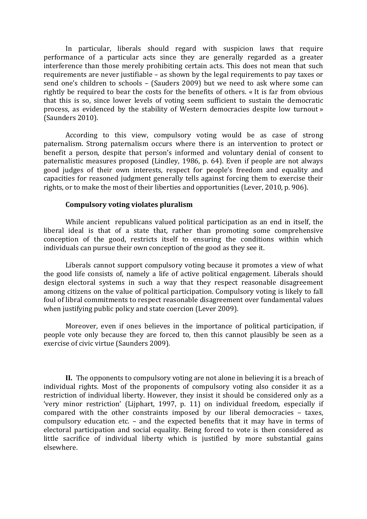In particular, liberals should regard with suspicion laws that require performance of a particular acts since they are generally regarded as a greater interference than those merely prohibiting certain acts. This does not mean that such requirements are never justifiable – as shown by the legal requirements to pay taxes or send one's children to schools - (Sauders 2009) but we need to ask where some can rightly be required to bear the costs for the benefits of others. « It is far from obvious that this is so, since lower levels of voting seem sufficient to sustain the democratic process, as evidenced by the stability of Western democracies despite low turnout » (Saunders 2010).

According to this view, compulsory voting would be as case of strong paternalism. Strong paternalism occurs where there is an intervention to protect or benefit a person, despite that person's informed and voluntary denial of consent to paternalistic measures proposed (Lindley, 1986, p. 64). Even if people are not always good judges of their own interests, respect for people's freedom and equality and capacities for reasoned judgment generally tells against forcing them to exercise their rights, or to make the most of their liberties and opportunities (Lever, 2010, p. 906).

#### Compulsory voting violates pluralism

While ancient republicans valued political participation as an end in itself, the liberal ideal is that of a state that, rather than promoting some comprehensive conception of the good, restricts itself to ensuring the conditions within which individuals can pursue their own conception of the good as they see it.

Liberals cannot support compulsory voting because it promotes a view of what the good life consists of, namely a life of active political engagement. Liberals should design electoral systems in such a way that they respect reasonable disagreement among citizens on the value of political participation. Compulsory voting is likely to fall foul of libral commitments to respect reasonable disagreement over fundamental values when justifying public policy and state coercion (Lever 2009).

Moreover, even if ones believes in the importance of political participation, if people vote only because they are forced to, then this cannot plausibly be seen as a exercise of civic virtue (Saunders 2009).

**II.** The opponents to compulsory voting are not alone in believing it is a breach of individual rights. Most of the proponents of compulsory voting also consider it as a restriction of individual liberty. However, they insist it should be considered only as a 'very minor restriction' (Lijphart, 1997, p. 11) on individual freedom, especially if compared with the other constraints imposed by our liberal democracies – taxes, compulsory education etc. – and the expected benefits that it may have in terms of electoral participation and social equality. Being forced to vote is then considered as little sacrifice of individual liberty which is justified by more substantial gains elsewhere.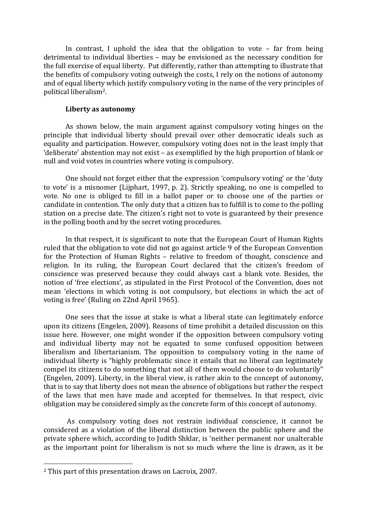In contrast, I uphold the idea that the obligation to vote – far from being detrimental to individual liberties – may be envisioned as the necessary condition for the full exercise of equal liberty. Put differently, rather than attempting to illustrate that the benefits of compulsory voting outweigh the costs, I rely on the notions of autonomy and of equal liberty which justify compulsory voting in the name of the very principles of nolitical liberalism<sup>2</sup>.

#### Liberty as autonomy

As shown below, the main argument against compulsory voting hinges on the principle that individual liberty should prevail over other democratic ideals such as equality and participation. However, compulsory voting does not in the least imply that 'deliberate' abstention may not exist – as exemplified by the high proportion of blank or null and void votes in countries where voting is compulsory.

One should not forget either that the expression 'compulsory voting' or the 'duty" to vote' is a misnomer (Lijphart, 1997, p. 2). Strictly speaking, no one is compelled to vote. No one is obliged to fill in a ballot paper or to choose one of the parties or candidate in contention. The only duty that a citizen has to fulfill is to come to the polling station on a precise date. The citizen's right not to vote is guaranteed by their presence in the polling booth and by the secret voting procedures.

In that respect, it is significant to note that the European Court of Human Rights" ruled that the obligation to vote did not go against article 9 of the European Convention for the Protection of Human Rights – relative to freedom of thought, conscience and religion. In its ruling, the European Court declared that the citizen's freedom of conscience was preserved because they could always cast a blank vote. Besides, the notion of 'free elections', as stipulated in the First Protocol of the Convention, does not mean 'elections in which voting is not compulsory, but elections in which the act of voting is free' (Ruling on 22nd April 1965).

One sees that the issue at stake is what a liberal state can legitimately enforce upon its citizens (Engelen, 2009). Reasons of time prohibit a detailed discussion on this issue here. However, one might wonder if the opposition between compulsory voting and individual liberty may not be equated to some confused opposition between liberalism and libertarianism. The opposition to compulsory voting in the name of individual liberty is "highly problematic since it entails that no liberal can legitimately compel its citizens to do something that not all of them would choose to do voluntarily" (Engelen, 2009). Liberty, in the liberal view, is rather akin to the concept of autonomy, that is to say that liberty does not mean the absence of obligations but rather the respect of the laws that men have made and accepted for themselves. In that respect, civic obligation may be considered simply as the concrete form of this concept of autonomy.

As compulsory voting does not restrain individual conscience, it cannot be considered as a violation of the liberal distinction between the public sphere and the private sphere which, according to Judith Shklar, is 'neither permanent nor unalterable" as the important point for liberalism is not so much where the line is drawn, as it be

"""""""""""""""""""""""""""""""""""""""""""""""""""""""

<sup>&</sup>lt;sup>2</sup> This part of this presentation draws on Lacroix, 2007.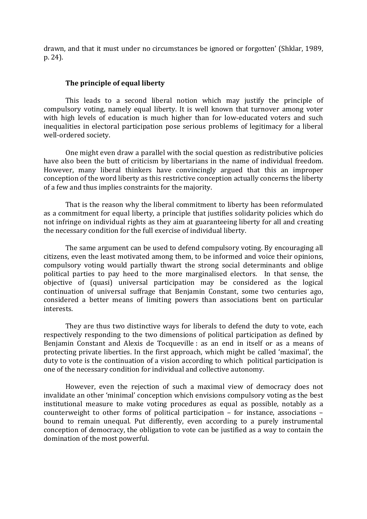drawn, and that it must under no circumstances be ignored or forgotten' (Shklar, 1989, p. 24).

#### **The principle of equal liberty**

This leads to a second liberal notion which may justify the principle of compulsory voting, namely equal liberty. It is well known that turnover among voter with high levels of education is much higher than for low-educated voters and such inequalities in electoral participation pose serious problems of legitimacy for a liberal well-ordered society.

One might even draw a parallel with the social question as redistributive policies have also been the butt of criticism by libertarians in the name of individual freedom. However, many liberal thinkers have convincingly argued that this an improper conception of the word liberty as this restrictive conception actually concerns the liberty of a few and thus implies constraints for the majority.

That is the reason why the liberal commitment to liberty has been reformulated as a commitment for equal liberty, a principle that justifies solidarity policies which do not infringe on individual rights as they aim at guaranteeing liberty for all and creating the necessary condition for the full exercise of individual liberty.

The same argument can be used to defend compulsory voting. By encouraging all citizens, even the least motivated among them, to be informed and voice their opinions, compulsory voting would partially thwart the strong social determinants and oblige political parties to pay heed to the more marginalised electors. In that sense, the objective of (quasi) universal participation may be considered as the logical continuation of universal suffrage that Benjamin Constant, some two centuries ago, considered a better means of limiting powers than associations bent on particular interests.

They are thus two distinctive ways for liberals to defend the duty to vote, each respectively responding to the two dimensions of political participation as defined by Benjamin Constant and Alexis de Tocqueville : as an end in itself or as a means of protecting private liberties. In the first approach, which might be called 'maximal', the duty to vote is the continuation of a vision according to which political participation is one of the necessary condition for individual and collective autonomy.

However, even the rejection of such a maximal view of democracy does not invalidate an other 'minimal' conception which envisions compulsory voting as the best institutional measure to make voting procedures as equal as possible, notably as a counterweight to other forms of political participation – for instance, associations – bound to remain unequal. Put differently, even according to a purely instrumental conception of democracy, the obligation to vote can be justified as a way to contain the domination of the most powerful.